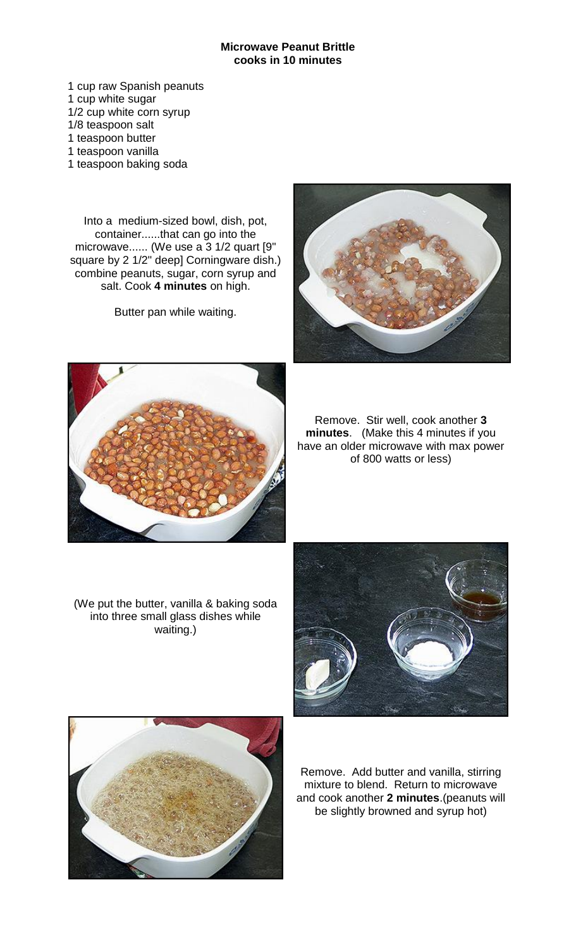## **Microwave Peanut Brittle cooks in 10 minutes**

1 cup raw Spanish peanuts 1 cup white sugar 1/2 cup white corn syrup 1/8 teaspoon salt 1 teaspoon butter 1 teaspoon vanilla 1 teaspoon baking soda

Into a medium-sized bowl, dish, pot, container......that can go into the microwave...... (We use a 3 1/2 quart [9" square by 2 1/2" deep] Corningware dish.) combine peanuts, sugar, corn syrup and salt. Cook **4 minutes** on high.

Butter pan while waiting.





Remove. Stir well, cook another **3 minutes**. (Make this 4 minutes if you have an older microwave with max power of 800 watts or less)

(We put the butter, vanilla & baking soda into three small glass dishes while waiting.)





Remove. Add butter and vanilla, stirring mixture to blend. Return to microwave and cook another **2 minutes**.(peanuts will be slightly browned and syrup hot)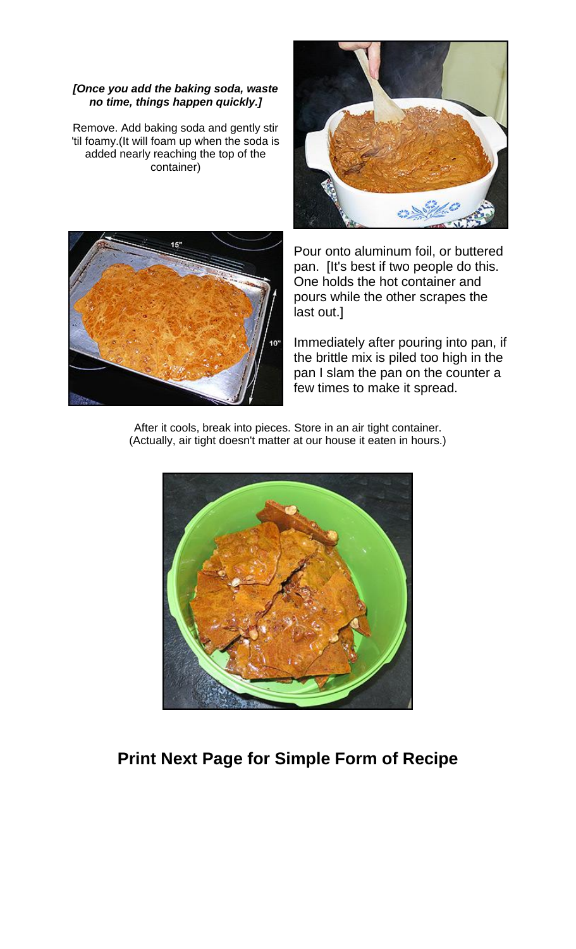## *[Once you add the baking soda, waste no time, things happen quickly.]*

Remove. Add baking soda and gently stir 'til foamy.(It will foam up when the soda is added nearly reaching the top of the container)





Pour onto aluminum foil, or buttered pan. [It's best if two people do this. One holds the hot container and pours while the other scrapes the last out.]

Immediately after pouring into pan, if the brittle mix is piled too high in the pan I slam the pan on the counter a few times to make it spread.

After it cools, break into pieces. Store in an air tight container. (Actually, air tight doesn't matter at our house it eaten in hours.)



## **Print Next Page for Simple Form of Recipe**